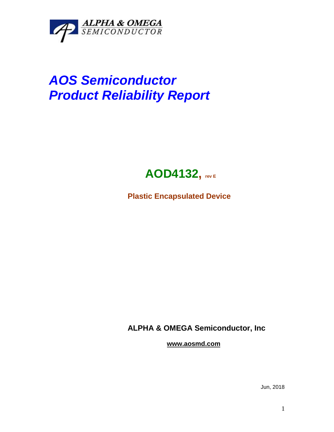

## *AOS Semiconductor Product Reliability Report*



**Plastic Encapsulated Device**

**ALPHA & OMEGA Semiconductor, Inc**

**www.aosmd.com**

Jun, 2018